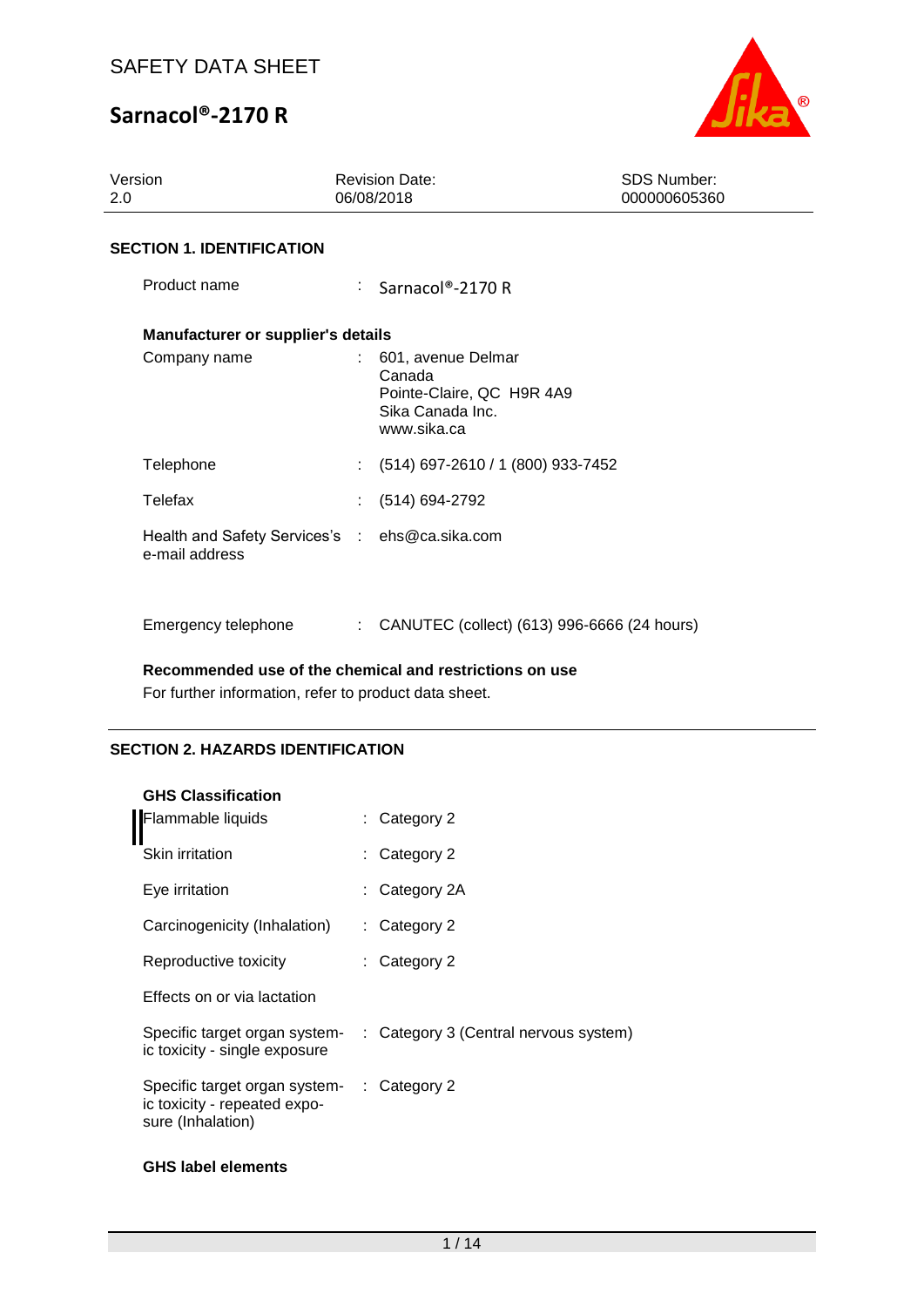

| 2.0 | Version                                                          |                           | <b>Revision Date:</b><br>06/08/2018                                                          | <b>SDS Number:</b><br>000000605360 |
|-----|------------------------------------------------------------------|---------------------------|----------------------------------------------------------------------------------------------|------------------------------------|
|     | <b>SECTION 1. IDENTIFICATION</b>                                 |                           |                                                                                              |                                    |
|     | Product name                                                     |                           | $\therefore$ Sarnacol®-2170 R                                                                |                                    |
|     | Manufacturer or supplier's details                               |                           |                                                                                              |                                    |
|     | Company name                                                     |                           | 601, avenue Delmar<br>Canada<br>Pointe-Claire, QC H9R 4A9<br>Sika Canada Inc.<br>www.sika.ca |                                    |
|     | Telephone                                                        |                           | $(514)$ 697-2610 / 1 (800) 933-7452                                                          |                                    |
|     | Telefax                                                          |                           | $(514) 694-2792$                                                                             |                                    |
|     | Health and Safety Services's : ehs@ca.sika.com<br>e-mail address |                           |                                                                                              |                                    |
|     | Emergency telephone                                              | $\mathbb{R}^{\mathbb{Z}}$ | CANUTEC (collect) (613) 996-6666 (24 hours)                                                  |                                    |

### **Recommended use of the chemical and restrictions on use**

For further information, refer to product data sheet.

## **SECTION 2. HAZARDS IDENTIFICATION**

| <b>GHS Classification</b>                                                          | Category 2                            |
|------------------------------------------------------------------------------------|---------------------------------------|
| Flammable liquids<br><b>Skin irritation</b>                                        | Category 2                            |
| Eye irritation                                                                     | : Category 2A                         |
| Carcinogenicity (Inhalation)                                                       | : Category 2                          |
| Reproductive toxicity                                                              | Category 2                            |
| Effects on or via lactation                                                        |                                       |
| Specific target organ system-<br>ic toxicity - single exposure                     | : Category 3 (Central nervous system) |
| Specific target organ system-<br>ic toxicity - repeated expo-<br>sure (Inhalation) | $\therefore$ Category 2               |
|                                                                                    |                                       |

### **GHS label elements**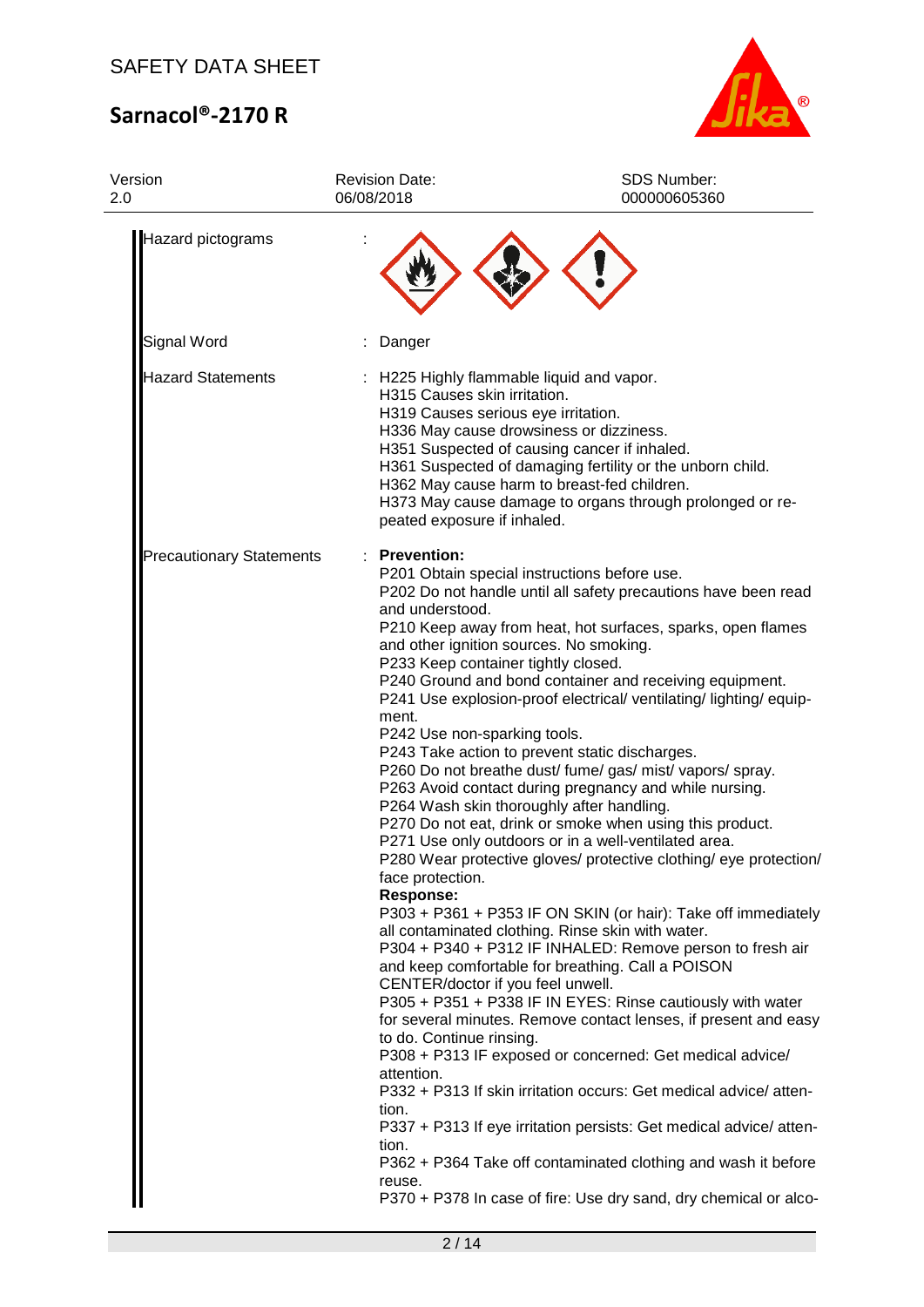

| Version<br>2.0                  | <b>Revision Date:</b><br>06/08/2018                                                                                                                                                                                                                                                                                 | SDS Number:<br>000000605360                                                                                                                                                                                                                                                                                                                                                                                                                                                                                                                                                                                                                                                                                                                                                                                                                                                                                                                                                                                                                                                                                                                                                                                                                                                                                                                                                                                                                       |  |  |
|---------------------------------|---------------------------------------------------------------------------------------------------------------------------------------------------------------------------------------------------------------------------------------------------------------------------------------------------------------------|---------------------------------------------------------------------------------------------------------------------------------------------------------------------------------------------------------------------------------------------------------------------------------------------------------------------------------------------------------------------------------------------------------------------------------------------------------------------------------------------------------------------------------------------------------------------------------------------------------------------------------------------------------------------------------------------------------------------------------------------------------------------------------------------------------------------------------------------------------------------------------------------------------------------------------------------------------------------------------------------------------------------------------------------------------------------------------------------------------------------------------------------------------------------------------------------------------------------------------------------------------------------------------------------------------------------------------------------------------------------------------------------------------------------------------------------------|--|--|
| Hazard pictograms               |                                                                                                                                                                                                                                                                                                                     |                                                                                                                                                                                                                                                                                                                                                                                                                                                                                                                                                                                                                                                                                                                                                                                                                                                                                                                                                                                                                                                                                                                                                                                                                                                                                                                                                                                                                                                   |  |  |
| Signal Word                     | Danger                                                                                                                                                                                                                                                                                                              |                                                                                                                                                                                                                                                                                                                                                                                                                                                                                                                                                                                                                                                                                                                                                                                                                                                                                                                                                                                                                                                                                                                                                                                                                                                                                                                                                                                                                                                   |  |  |
| <b>Hazard Statements</b>        | : H225 Highly flammable liquid and vapor.<br>H315 Causes skin irritation.<br>H319 Causes serious eye irritation.<br>peated exposure if inhaled.                                                                                                                                                                     | H336 May cause drowsiness or dizziness.<br>H351 Suspected of causing cancer if inhaled.<br>H361 Suspected of damaging fertility or the unborn child.<br>H362 May cause harm to breast-fed children.<br>H373 May cause damage to organs through prolonged or re-                                                                                                                                                                                                                                                                                                                                                                                                                                                                                                                                                                                                                                                                                                                                                                                                                                                                                                                                                                                                                                                                                                                                                                                   |  |  |
| <b>Precautionary Statements</b> | <b>Prevention:</b><br>and understood.<br>and other ignition sources. No smoking.<br>P233 Keep container tightly closed.<br>ment.<br>P242 Use non-sparking tools.<br>face protection.<br><b>Response:</b><br>CENTER/doctor if you feel unwell.<br>to do. Continue rinsing.<br>attention.<br>tion.<br>tion.<br>reuse. | P201 Obtain special instructions before use.<br>P202 Do not handle until all safety precautions have been read<br>P210 Keep away from heat, hot surfaces, sparks, open flames<br>P240 Ground and bond container and receiving equipment.<br>P241 Use explosion-proof electrical/ ventilating/ lighting/ equip-<br>P243 Take action to prevent static discharges.<br>P260 Do not breathe dust/ fume/ gas/ mist/ vapors/ spray.<br>P263 Avoid contact during pregnancy and while nursing.<br>P264 Wash skin thoroughly after handling.<br>P270 Do not eat, drink or smoke when using this product.<br>P271 Use only outdoors or in a well-ventilated area.<br>P280 Wear protective gloves/ protective clothing/ eye protection/<br>P303 + P361 + P353 IF ON SKIN (or hair): Take off immediately<br>all contaminated clothing. Rinse skin with water.<br>P304 + P340 + P312 IF INHALED: Remove person to fresh air<br>and keep comfortable for breathing. Call a POISON<br>P305 + P351 + P338 IF IN EYES: Rinse cautiously with water<br>for several minutes. Remove contact lenses, if present and easy<br>P308 + P313 IF exposed or concerned: Get medical advice/<br>P332 + P313 If skin irritation occurs: Get medical advice/atten-<br>P337 + P313 If eye irritation persists: Get medical advice/ atten-<br>P362 + P364 Take off contaminated clothing and wash it before<br>P370 + P378 In case of fire: Use dry sand, dry chemical or alco- |  |  |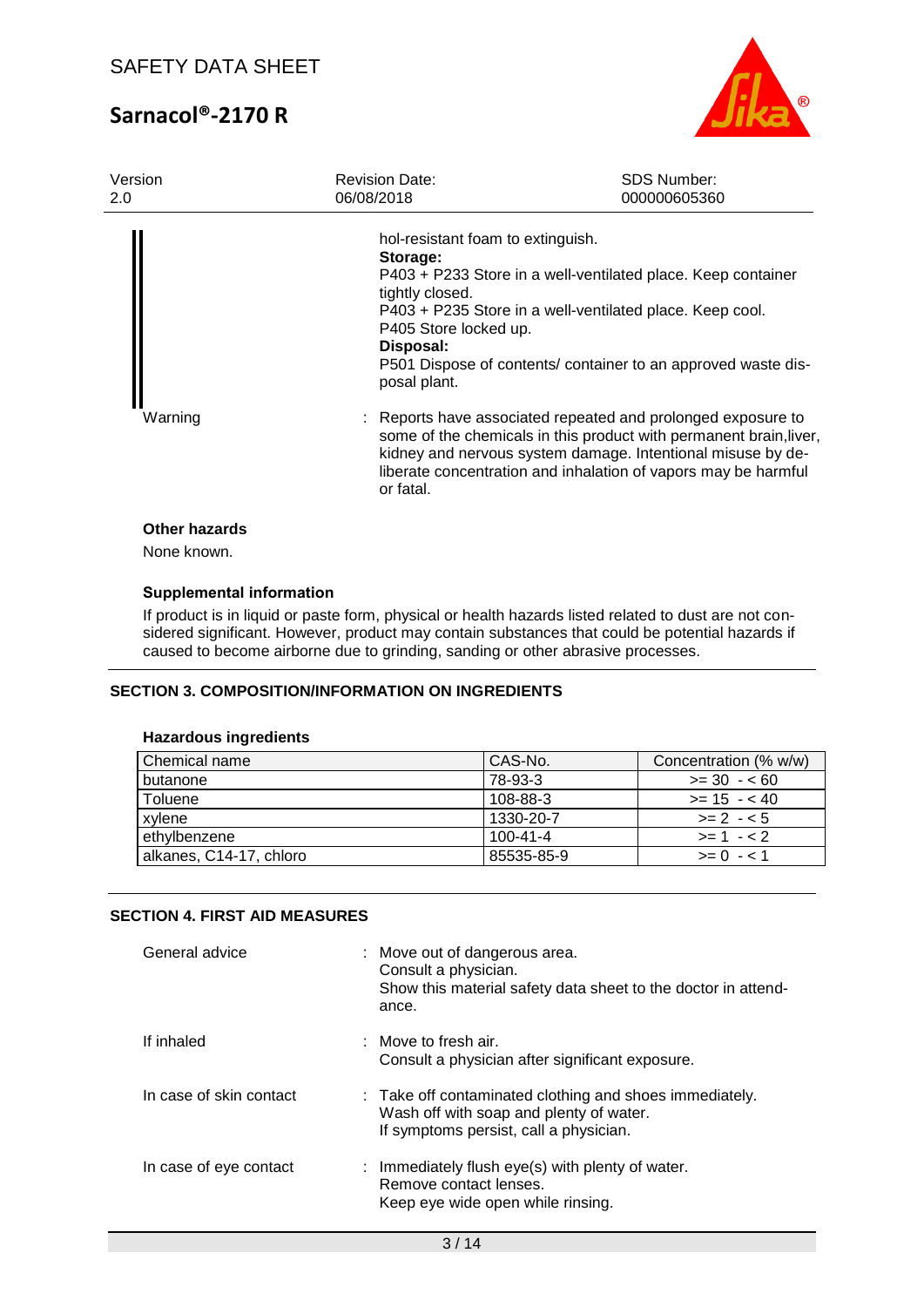

| Version<br>2.0               | <b>Revision Date:</b><br>06/08/2018                                                                                    | <b>SDS Number:</b><br>000000605360                                                                                                                                                                                                                                |
|------------------------------|------------------------------------------------------------------------------------------------------------------------|-------------------------------------------------------------------------------------------------------------------------------------------------------------------------------------------------------------------------------------------------------------------|
|                              | hol-resistant foam to extinguish.<br>Storage:<br>tightly closed.<br>P405 Store locked up.<br>Disposal:<br>posal plant. | P403 + P233 Store in a well-ventilated place. Keep container<br>P403 + P235 Store in a well-ventilated place. Keep cool.<br>P501 Dispose of contents/ container to an approved waste dis-                                                                         |
| Warning                      | or fatal.                                                                                                              | Reports have associated repeated and prolonged exposure to<br>some of the chemicals in this product with permanent brain, liver,<br>kidney and nervous system damage. Intentional misuse by de-<br>liberate concentration and inhalation of vapors may be harmful |
| Other hazards<br>None known. |                                                                                                                        |                                                                                                                                                                                                                                                                   |

### **Supplemental information**

If product is in liquid or paste form, physical or health hazards listed related to dust are not considered significant. However, product may contain substances that could be potential hazards if caused to become airborne due to grinding, sanding or other abrasive processes.

### **SECTION 3. COMPOSITION/INFORMATION ON INGREDIENTS**

#### **Hazardous ingredients**

| Chemical name           | CAS-No.        | Concentration (% w/w) |
|-------------------------|----------------|-----------------------|
| butanone                | 78-93-3        | $>= 30 - 60$          |
| Toluene                 | 108-88-3       | $>= 15 - 40$          |
| xvlene                  | 1330-20-7      | $>= 2 - 5$            |
| ethylbenzene            | $100 - 41 - 4$ | $>= 1 - 2$            |
| alkanes, C14-17, chloro | 85535-85-9     | $>= 0 - 1$            |

### **SECTION 4. FIRST AID MEASURES**

| General advice          | : Move out of dangerous area.<br>Consult a physician.<br>Show this material safety data sheet to the doctor in attend-<br>ance.              |
|-------------------------|----------------------------------------------------------------------------------------------------------------------------------------------|
| If inhaled              | : Move to fresh air.<br>Consult a physician after significant exposure.                                                                      |
| In case of skin contact | : Take off contaminated clothing and shoes immediately.<br>Wash off with soap and plenty of water.<br>If symptoms persist, call a physician. |
| In case of eye contact  | : Immediately flush eye(s) with plenty of water.<br>Remove contact lenses.<br>Keep eye wide open while rinsing.                              |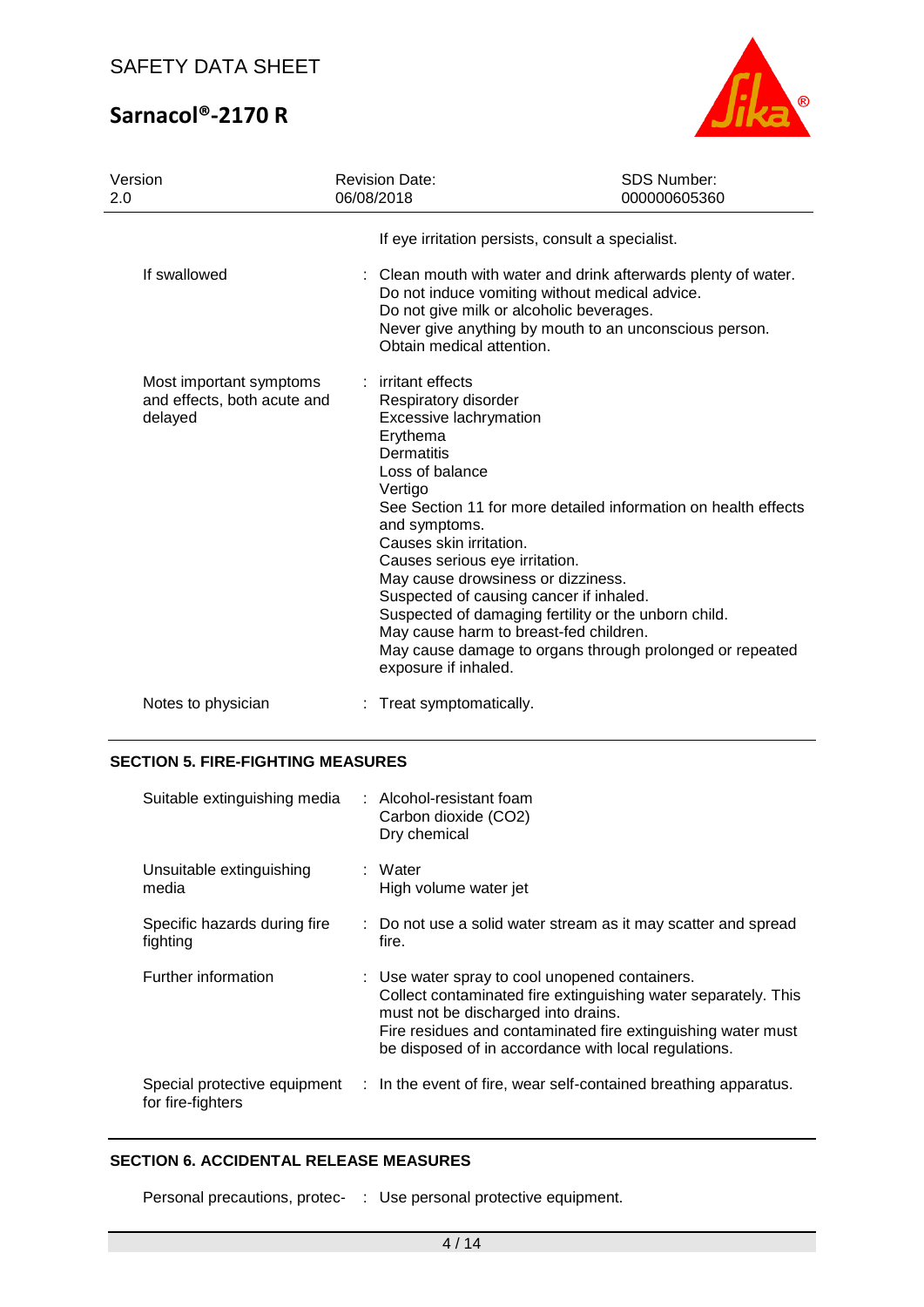

| Version<br>2.0                                                    | <b>Revision Date:</b><br>06/08/2018                                                                                                                                                                                                                                                                                                                                         | <b>SDS Number:</b><br>000000605360                                                                                                                                                 |
|-------------------------------------------------------------------|-----------------------------------------------------------------------------------------------------------------------------------------------------------------------------------------------------------------------------------------------------------------------------------------------------------------------------------------------------------------------------|------------------------------------------------------------------------------------------------------------------------------------------------------------------------------------|
|                                                                   | If eye irritation persists, consult a specialist.                                                                                                                                                                                                                                                                                                                           |                                                                                                                                                                                    |
| If swallowed                                                      | Do not give milk or alcoholic beverages.<br>Obtain medical attention.                                                                                                                                                                                                                                                                                                       | : Clean mouth with water and drink afterwards plenty of water.<br>Do not induce vomiting without medical advice.<br>Never give anything by mouth to an unconscious person.         |
| Most important symptoms<br>and effects, both acute and<br>delayed | : irritant effects<br>Respiratory disorder<br><b>Excessive lachrymation</b><br>Erythema<br><b>Dermatitis</b><br>Loss of balance<br>Vertigo<br>and symptoms.<br>Causes skin irritation.<br>Causes serious eye irritation.<br>May cause drowsiness or dizziness.<br>Suspected of causing cancer if inhaled.<br>May cause harm to breast-fed children.<br>exposure if inhaled. | See Section 11 for more detailed information on health effects<br>Suspected of damaging fertility or the unborn child.<br>May cause damage to organs through prolonged or repeated |
| Notes to physician                                                | : Treat symptomatically.                                                                                                                                                                                                                                                                                                                                                    |                                                                                                                                                                                    |

## **SECTION 5. FIRE-FIGHTING MEASURES**

| Suitable extinguishing media             | : Alcohol-resistant foam<br>Carbon dioxide (CO2)<br>Dry chemical                                                                                                                                                                                                                |
|------------------------------------------|---------------------------------------------------------------------------------------------------------------------------------------------------------------------------------------------------------------------------------------------------------------------------------|
| Unsuitable extinguishing<br>media        | : Water<br>High volume water jet                                                                                                                                                                                                                                                |
| Specific hazards during fire<br>fighting | : Do not use a solid water stream as it may scatter and spread<br>fire.                                                                                                                                                                                                         |
| Further information                      | : Use water spray to cool unopened containers.<br>Collect contaminated fire extinguishing water separately. This<br>must not be discharged into drains.<br>Fire residues and contaminated fire extinguishing water must<br>be disposed of in accordance with local regulations. |
| for fire-fighters                        | Special protective equipment : In the event of fire, wear self-contained breathing apparatus.                                                                                                                                                                                   |

### **SECTION 6. ACCIDENTAL RELEASE MEASURES**

Personal precautions, protec- : Use personal protective equipment.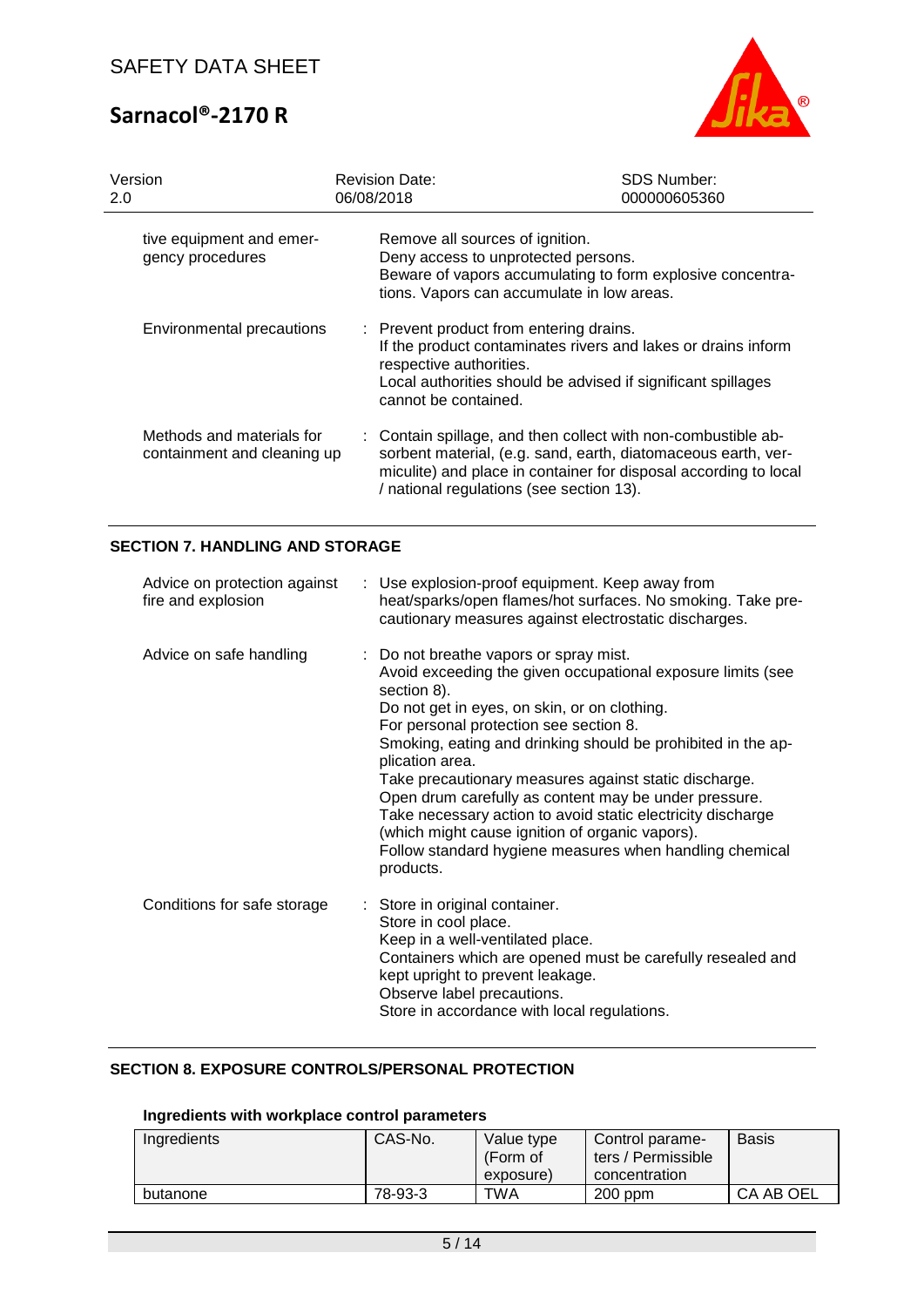

| Version                                                  | <b>Revision Date:</b>                                                                      | <b>SDS Number:</b>                                                                                                                                                                                 |
|----------------------------------------------------------|--------------------------------------------------------------------------------------------|----------------------------------------------------------------------------------------------------------------------------------------------------------------------------------------------------|
| 2.0                                                      | 06/08/2018                                                                                 | 000000605360                                                                                                                                                                                       |
| tive equipment and emer-                                 | Remove all sources of ignition.                                                            | Beware of vapors accumulating to form explosive concentra-                                                                                                                                         |
| gency procedures                                         | Deny access to unprotected persons.                                                        | tions. Vapors can accumulate in low areas.                                                                                                                                                         |
| Environmental precautions                                | : Prevent product from entering drains.<br>respective authorities.<br>cannot be contained. | If the product contaminates rivers and lakes or drains inform<br>Local authorities should be advised if significant spillages                                                                      |
| Methods and materials for<br>containment and cleaning up | / national regulations (see section 13).                                                   | : Contain spillage, and then collect with non-combustible ab-<br>sorbent material, (e.g. sand, earth, diatomaceous earth, ver-<br>miculite) and place in container for disposal according to local |

### **SECTION 7. HANDLING AND STORAGE**

| Advice on protection against<br>fire and explosion | : Use explosion-proof equipment. Keep away from<br>heat/sparks/open flames/hot surfaces. No smoking. Take pre-<br>cautionary measures against electrostatic discharges.                                                                                                                                                                                                                                                                                                                                                                                                                                       |
|----------------------------------------------------|---------------------------------------------------------------------------------------------------------------------------------------------------------------------------------------------------------------------------------------------------------------------------------------------------------------------------------------------------------------------------------------------------------------------------------------------------------------------------------------------------------------------------------------------------------------------------------------------------------------|
| Advice on safe handling                            | : Do not breathe vapors or spray mist.<br>Avoid exceeding the given occupational exposure limits (see<br>section 8).<br>Do not get in eyes, on skin, or on clothing.<br>For personal protection see section 8.<br>Smoking, eating and drinking should be prohibited in the ap-<br>plication area.<br>Take precautionary measures against static discharge.<br>Open drum carefully as content may be under pressure.<br>Take necessary action to avoid static electricity discharge<br>(which might cause ignition of organic vapors).<br>Follow standard hygiene measures when handling chemical<br>products. |
| Conditions for safe storage                        | : Store in original container.<br>Store in cool place.<br>Keep in a well-ventilated place.<br>Containers which are opened must be carefully resealed and<br>kept upright to prevent leakage.<br>Observe label precautions.<br>Store in accordance with local regulations.                                                                                                                                                                                                                                                                                                                                     |

### **SECTION 8. EXPOSURE CONTROLS/PERSONAL PROTECTION**

### **Ingredients with workplace control parameters**

| Ingredients | CAS-No. | Value type<br>(Form of<br>exposure) | Control parame-<br>ters / Permissible<br>concentration | <b>Basis</b> |
|-------------|---------|-------------------------------------|--------------------------------------------------------|--------------|
| butanone    | 78-93-3 | TWA                                 | $200$ ppm                                              | CA AB OEL    |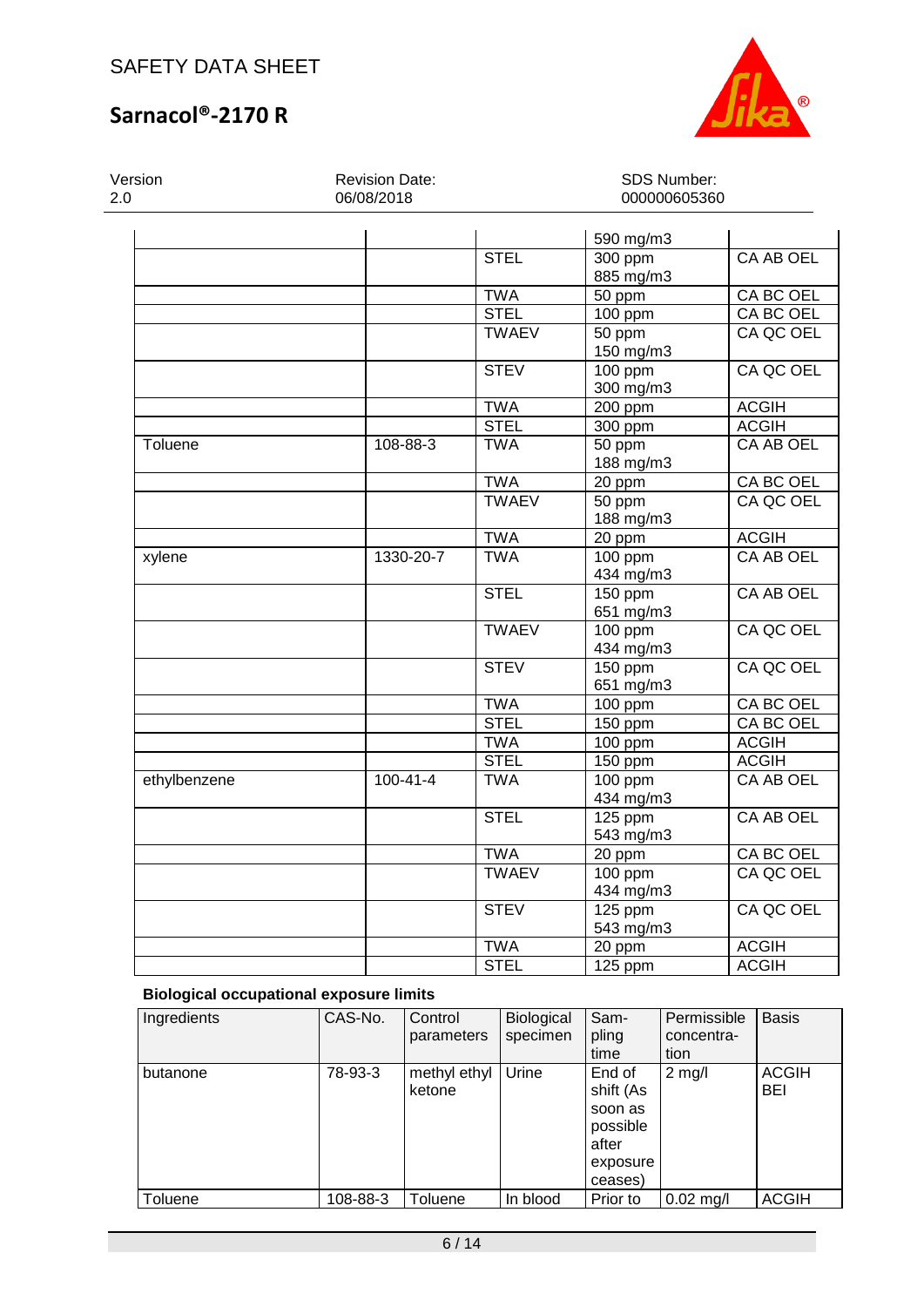

SDS Number: 000000605360

# **Sarnacol®-2170 R**

Version 2.0

Revision Date: 06/08/2018

|              |                |              | 590 mg/m3              |                  |
|--------------|----------------|--------------|------------------------|------------------|
|              |                | <b>STEL</b>  | $300$ ppm<br>885 mg/m3 | <b>CA AB OEL</b> |
|              |                | <b>TWA</b>   | $\overline{50}$ ppm    | CA BC OEL        |
|              |                | <b>STEL</b>  | 100 ppm                | CA BC OEL        |
|              |                | <b>TWAEV</b> | 50 ppm                 | CA QC OEL        |
|              |                |              | 150 mg/m3              |                  |
|              |                | <b>STEV</b>  | $100$ ppm              | CA QC OEL        |
|              |                |              | 300 mg/m3              |                  |
|              |                | <b>TWA</b>   | 200 ppm                | <b>ACGIH</b>     |
|              |                | <b>STEL</b>  | 300 ppm                | <b>ACGIH</b>     |
| Toluene      | 108-88-3       | <b>TWA</b>   | 50 ppm<br>188 mg/m3    | <b>CA AB OEL</b> |
|              |                | <b>TWA</b>   |                        | CA BC OEL        |
|              |                | <b>TWAEV</b> | 20 ppm                 | CA QC OEL        |
|              |                |              | 50 ppm<br>188 mg/m3    |                  |
|              |                | <b>TWA</b>   | 20 ppm                 | <b>ACGIH</b>     |
|              | 1330-20-7      | <b>TWA</b>   |                        | <b>CA AB OEL</b> |
| xylene       |                |              | 100 ppm<br>434 mg/m3   |                  |
|              |                | <b>STEL</b>  | 150 ppm                | <b>CA AB OEL</b> |
|              |                |              | 651 mg/m3              |                  |
|              |                | <b>TWAEV</b> | $100$ ppm              | CA QC OEL        |
|              |                |              | 434 mg/m3              |                  |
|              |                | <b>STEV</b>  | 150 ppm                | CA QC OEL        |
|              |                |              | 651 mg/m3              |                  |
|              |                | <b>TWA</b>   | 100 ppm                | CA BC OEL        |
|              |                | <b>STEL</b>  | 150 ppm                | <b>CA BC OEL</b> |
|              |                | <b>TWA</b>   | 100 ppm                | <b>ACGIH</b>     |
|              |                | <b>STEL</b>  | 150 ppm                | <b>ACGIH</b>     |
| ethylbenzene | $100 - 41 - 4$ | <b>TWA</b>   | $100$ ppm              | <b>CA AB OEL</b> |
|              |                |              | 434 mg/m3              |                  |
|              |                | <b>STEL</b>  | 125 ppm                | CA AB OEL        |
|              |                |              | 543 mg/m3              |                  |
|              |                | <b>TWA</b>   | 20 ppm                 | <b>CA BC OEL</b> |
|              |                | <b>TWAEV</b> | $100$ ppm              | CA QC OEL        |
|              |                |              | 434 mg/m3              |                  |
|              |                | <b>STEV</b>  | 125 ppm                | CA QC OEL        |
|              |                |              | 543 mg/m3              |                  |
|              |                | <b>TWA</b>   | 20 ppm                 | <b>ACGIH</b>     |
|              |                | <b>STEL</b>  | 125 ppm                | <b>ACGIH</b>     |

## **Biological occupational exposure limits**

| Ingredients | CAS-No.  | Control<br>parameters  | Biological<br>specimen | Sam-<br>pling<br>time                                                      | Permissible<br>concentra-<br>tion | <b>Basis</b>        |
|-------------|----------|------------------------|------------------------|----------------------------------------------------------------------------|-----------------------------------|---------------------|
| butanone    | 78-93-3  | methyl ethyl<br>ketone | Urine                  | End of<br>shift (As<br>soon as<br>possible<br>after<br>exposure<br>ceases) | $2$ mg/l                          | <b>ACGIH</b><br>BEI |
| Toluene     | 108-88-3 | Toluene                | In blood               | Prior to                                                                   | $0.02$ mg/l                       | <b>ACGIH</b>        |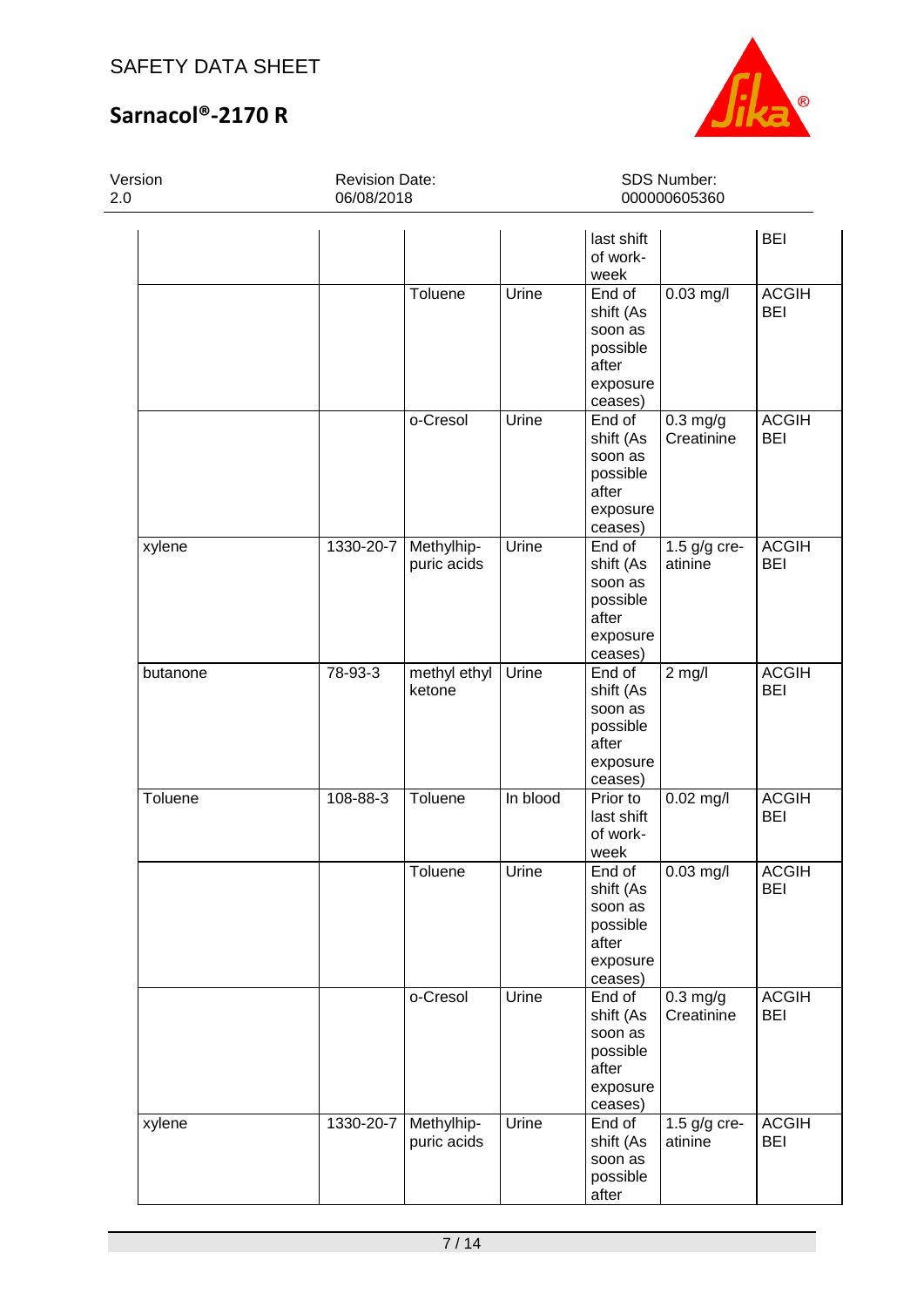

SDS Number: 000000605360

# **Sarnacol®-2170 R**

Version 2.0

Revision Date: 06/08/2018

|          |           |                           |          | last shift<br>of work-<br>week                                             |                           | <b>BEI</b>                 |
|----------|-----------|---------------------------|----------|----------------------------------------------------------------------------|---------------------------|----------------------------|
|          |           | Toluene                   | Urine    | End of<br>shift (As<br>soon as<br>possible<br>after<br>exposure<br>ceases) | $0.03$ mg/l               | <b>ACGIH</b><br><b>BEI</b> |
|          |           | o-Cresol                  | Urine    | End of<br>shift (As<br>soon as<br>possible<br>after<br>exposure<br>ceases) | $0.3$ mg/g<br>Creatinine  | <b>ACGIH</b><br><b>BEI</b> |
| xylene   | 1330-20-7 | Methylhip-<br>puric acids | Urine    | End of<br>shift (As<br>soon as<br>possible<br>after<br>exposure<br>ceases) | 1.5 g/g cre-<br>atinine   | <b>ACGIH</b><br><b>BEI</b> |
| butanone | 78-93-3   | methyl ethyl<br>ketone    | Urine    | End of<br>shift (As<br>soon as<br>possible<br>after<br>exposure<br>ceases) | $2$ mg/l                  | <b>ACGIH</b><br><b>BEI</b> |
| Toluene  | 108-88-3  | Toluene                   | In blood | Prior to<br>last shift<br>of work-<br>week                                 | $0.02$ mg/l               | <b>ACGIH</b><br><b>BEI</b> |
|          |           | Toluene                   | Urine    | End of<br>shift (As<br>soon as<br>possible<br>after<br>exposure<br>ceases) | $0.03$ mg/l               | <b>ACGIH</b><br><b>BEI</b> |
|          |           | o-Cresol                  | Urine    | End of<br>shift (As<br>soon as<br>possible<br>after<br>exposure<br>ceases) | $0.3$ mg/g<br>Creatinine  | <b>ACGIH</b><br><b>BEI</b> |
| xylene   | 1330-20-7 | Methylhip-<br>puric acids | Urine    | End of<br>shift (As<br>soon as<br>possible<br>after                        | 1.5 $g/g$ cre-<br>atinine | <b>ACGIH</b><br><b>BEI</b> |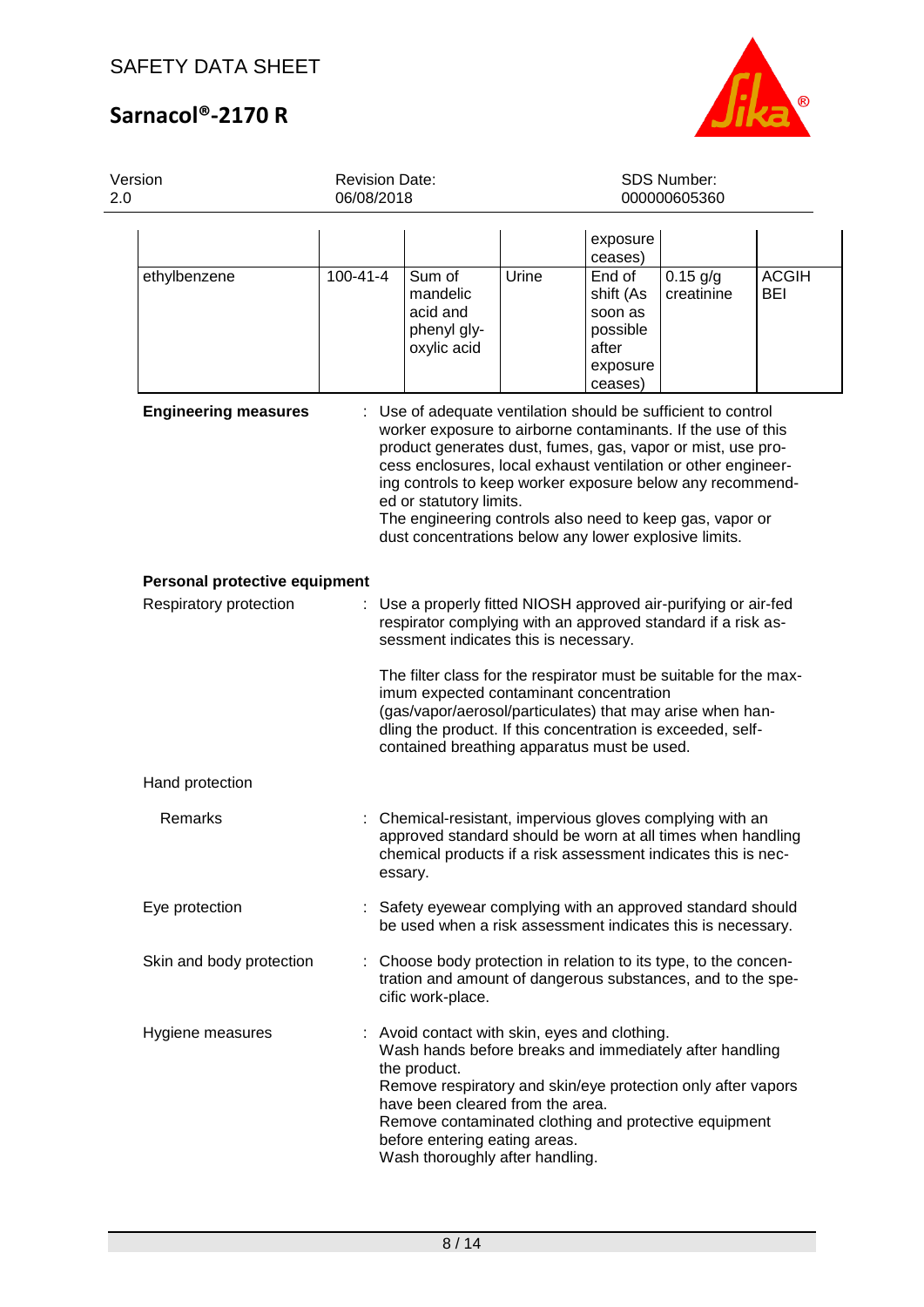

| Version<br>2.0                | <b>Revision Date:</b><br>06/08/2018 |                                                                                                                                                                                                                                                                                                                                                                                                                                                                            | SDS Number:<br>000000605360 |                                                                            |                          |                     |
|-------------------------------|-------------------------------------|----------------------------------------------------------------------------------------------------------------------------------------------------------------------------------------------------------------------------------------------------------------------------------------------------------------------------------------------------------------------------------------------------------------------------------------------------------------------------|-----------------------------|----------------------------------------------------------------------------|--------------------------|---------------------|
|                               |                                     |                                                                                                                                                                                                                                                                                                                                                                                                                                                                            |                             | exposure<br>ceases)                                                        |                          |                     |
| ethylbenzene                  | $100 - 41 - 4$                      | Sum of<br>mandelic<br>acid and<br>phenyl gly-<br>oxylic acid                                                                                                                                                                                                                                                                                                                                                                                                               | Urine                       | End of<br>shift (As<br>soon as<br>possible<br>after<br>exposure<br>ceases) | $0.15$ g/g<br>creatinine | <b>ACGIH</b><br>BEI |
| <b>Engineering measures</b>   |                                     | : Use of adequate ventilation should be sufficient to control<br>worker exposure to airborne contaminants. If the use of this<br>product generates dust, fumes, gas, vapor or mist, use pro-<br>cess enclosures, local exhaust ventilation or other engineer-<br>ing controls to keep worker exposure below any recommend-<br>ed or statutory limits.<br>The engineering controls also need to keep gas, vapor or<br>dust concentrations below any lower explosive limits. |                             |                                                                            |                          |                     |
| Personal protective equipment |                                     |                                                                                                                                                                                                                                                                                                                                                                                                                                                                            |                             |                                                                            |                          |                     |
| Respiratory protection        | ÷.                                  | Use a properly fitted NIOSH approved air-purifying or air-fed<br>respirator complying with an approved standard if a risk as-<br>sessment indicates this is necessary.<br>The filter class for the respirator must be suitable for the max-<br>imum expected contaminant concentration<br>(gas/vapor/aerosol/particulates) that may arise when han-<br>dling the product. If this concentration is exceeded, self-<br>contained breathing apparatus must be used.          |                             |                                                                            |                          |                     |
| Hand protection               |                                     |                                                                                                                                                                                                                                                                                                                                                                                                                                                                            |                             |                                                                            |                          |                     |
| Remarks                       | ÷.                                  | Chemical-resistant, impervious gloves complying with an<br>approved standard should be worn at all times when handling<br>chemical products if a risk assessment indicates this is nec-<br>essary.                                                                                                                                                                                                                                                                         |                             |                                                                            |                          |                     |
| Eye protection                |                                     | Safety eyewear complying with an approved standard should<br>be used when a risk assessment indicates this is necessary.                                                                                                                                                                                                                                                                                                                                                   |                             |                                                                            |                          |                     |
| Skin and body protection      |                                     | Choose body protection in relation to its type, to the concen-<br>tration and amount of dangerous substances, and to the spe-<br>cific work-place.                                                                                                                                                                                                                                                                                                                         |                             |                                                                            |                          |                     |
| Hygiene measures              |                                     | : Avoid contact with skin, eyes and clothing.<br>Wash hands before breaks and immediately after handling<br>the product.<br>Remove respiratory and skin/eye protection only after vapors<br>have been cleared from the area.<br>Remove contaminated clothing and protective equipment<br>before entering eating areas.<br>Wash thoroughly after handling.                                                                                                                  |                             |                                                                            |                          |                     |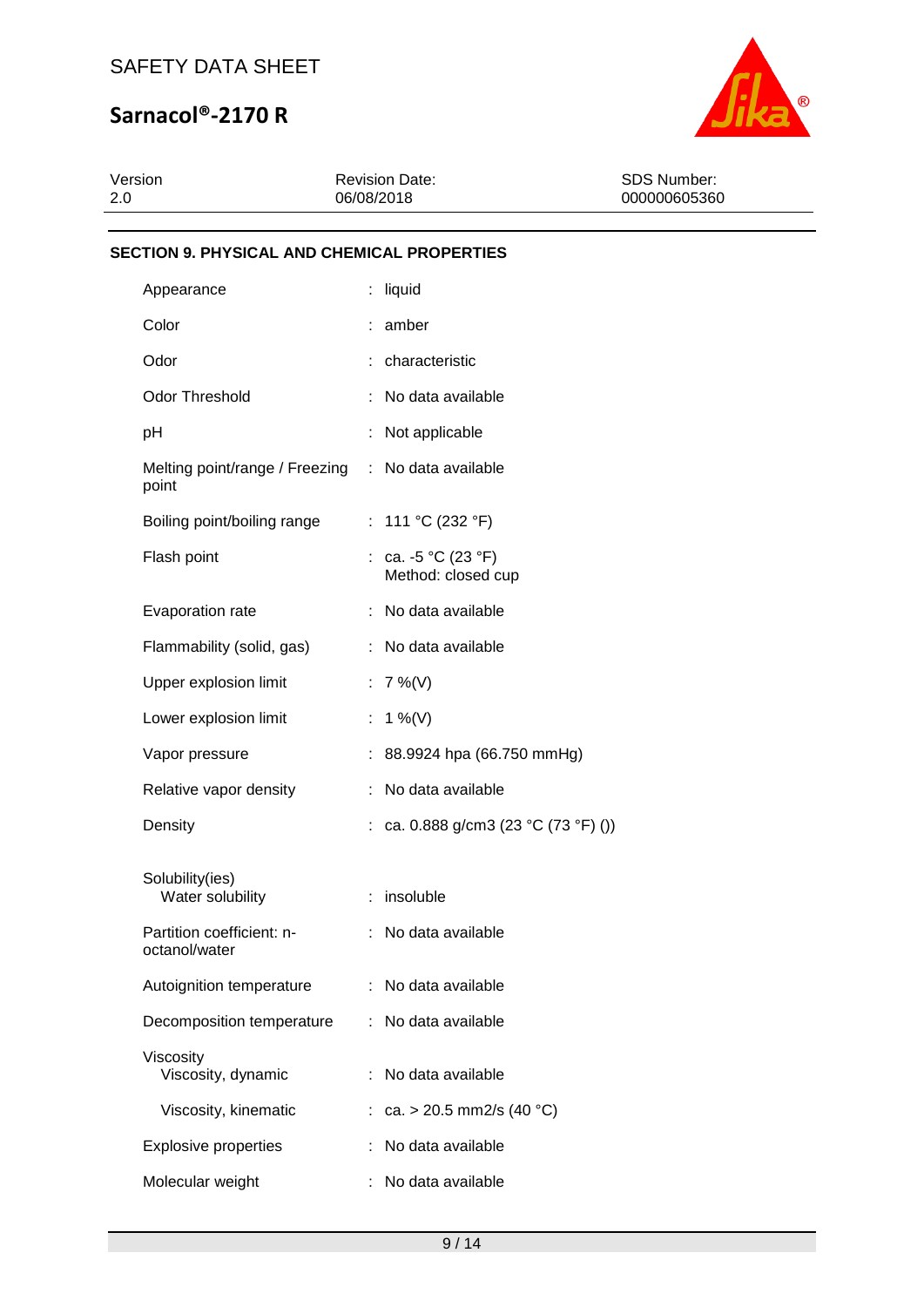

| Version | <b>Revision Date:</b> | SDS Number:  |
|---------|-----------------------|--------------|
| 2.0     | 06/08/2018            | 000000605360 |
|         |                       |              |

### **SECTION 9. PHYSICAL AND CHEMICAL PROPERTIES**

| Appearance                                 | ÷  | liquid                                    |
|--------------------------------------------|----|-------------------------------------------|
| Color                                      |    | amber                                     |
| Odor                                       |    | characteristic                            |
| <b>Odor Threshold</b>                      |    | No data available                         |
| рH                                         |    | Not applicable                            |
| Melting point/range / Freezing<br>point    |    | : No data available                       |
| Boiling point/boiling range                |    | : 111 °C (232 °F)                         |
| Flash point                                |    | : ca. -5 °C (23 °F)<br>Method: closed cup |
| Evaporation rate                           |    | No data available                         |
| Flammability (solid, gas)                  |    | No data available                         |
| Upper explosion limit                      | t. | $7\%$ (V)                                 |
| Lower explosion limit                      | ÷  | 1 %(V)                                    |
| Vapor pressure                             |    | 88.9924 hpa (66.750 mmHg)                 |
| Relative vapor density                     |    | No data available                         |
| Density                                    |    | ca. 0.888 g/cm3 (23 °C (73 °F) ())        |
| Solubility(ies)<br>Water solubility        |    | insoluble                                 |
| Partition coefficient: n-<br>octanol/water | ÷  | No data available                         |
| Autoignition temperature                   |    | No data available                         |
| Decomposition temperature                  |    | No data available                         |
| Viscosity<br>Viscosity, dynamic            |    | No data available                         |
| Viscosity, kinematic                       |    | ca. > 20.5 mm2/s (40 °C)                  |
| <b>Explosive properties</b>                |    | No data available                         |
| Molecular weight                           |    | No data available                         |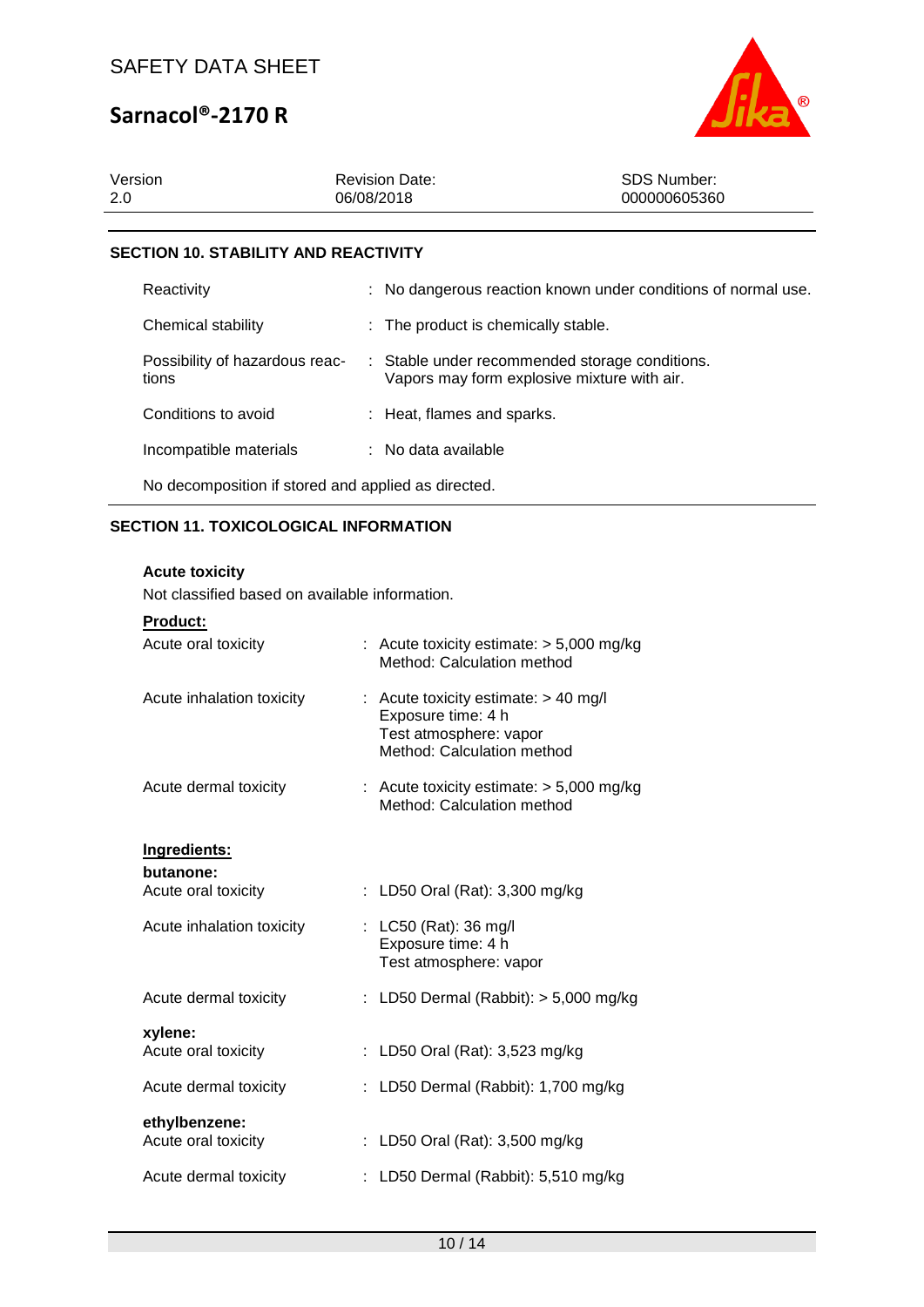

| Version<br>-2.0                            | <b>Revision Date:</b><br>06/08/2018 | SDS Number:<br>000000605360 |  |  |
|--------------------------------------------|-------------------------------------|-----------------------------|--|--|
|                                            |                                     |                             |  |  |
| <b>OFOTION 40 OTABU ITV AND BEAGTIVITY</b> |                                     |                             |  |  |

### **SECTION 10. STABILITY AND REACTIVITY**

| Reactivity                                          |  | : No dangerous reaction known under conditions of normal use.                                 |  |  |
|-----------------------------------------------------|--|-----------------------------------------------------------------------------------------------|--|--|
| Chemical stability                                  |  | : The product is chemically stable.                                                           |  |  |
| Possibility of hazardous reac-<br>tions             |  | : Stable under recommended storage conditions.<br>Vapors may form explosive mixture with air. |  |  |
| Conditions to avoid                                 |  | : Heat, flames and sparks.                                                                    |  |  |
| Incompatible materials                              |  | : No data available                                                                           |  |  |
| No decomposition if stored and applied as directed. |  |                                                                                               |  |  |

## **SECTION 11. TOXICOLOGICAL INFORMATION**

### **Acute toxicity**

Not classified based on available information.

|  |  |  | <b>Product:</b> |  |  |
|--|--|--|-----------------|--|--|
|--|--|--|-----------------|--|--|

| Acute oral toxicity                  | : Acute toxicity estimate: $> 5,000$ mg/kg<br>Method: Calculation method                                             |
|--------------------------------------|----------------------------------------------------------------------------------------------------------------------|
| Acute inhalation toxicity            | : Acute toxicity estimate: $> 40$ mg/l<br>Exposure time: 4 h<br>Test atmosphere: vapor<br>Method: Calculation method |
| Acute dermal toxicity                | : Acute toxicity estimate: $> 5,000$ mg/kg<br>Method: Calculation method                                             |
| Ingredients:                         |                                                                                                                      |
| butanone:<br>Acute oral toxicity     | : LD50 Oral (Rat): 3,300 mg/kg                                                                                       |
| Acute inhalation toxicity            | : LC50 (Rat): 36 mg/l<br>Exposure time: 4 h<br>Test atmosphere: vapor                                                |
| Acute dermal toxicity                | : LD50 Dermal (Rabbit): $> 5,000$ mg/kg                                                                              |
| xylene:<br>Acute oral toxicity       | : LD50 Oral (Rat): $3,523$ mg/kg                                                                                     |
| Acute dermal toxicity                | LD50 Dermal (Rabbit): 1,700 mg/kg                                                                                    |
| ethylbenzene:<br>Acute oral toxicity | : LD50 Oral (Rat): 3,500 mg/kg                                                                                       |
| Acute dermal toxicity                | : LD50 Dermal (Rabbit): 5,510 mg/kg                                                                                  |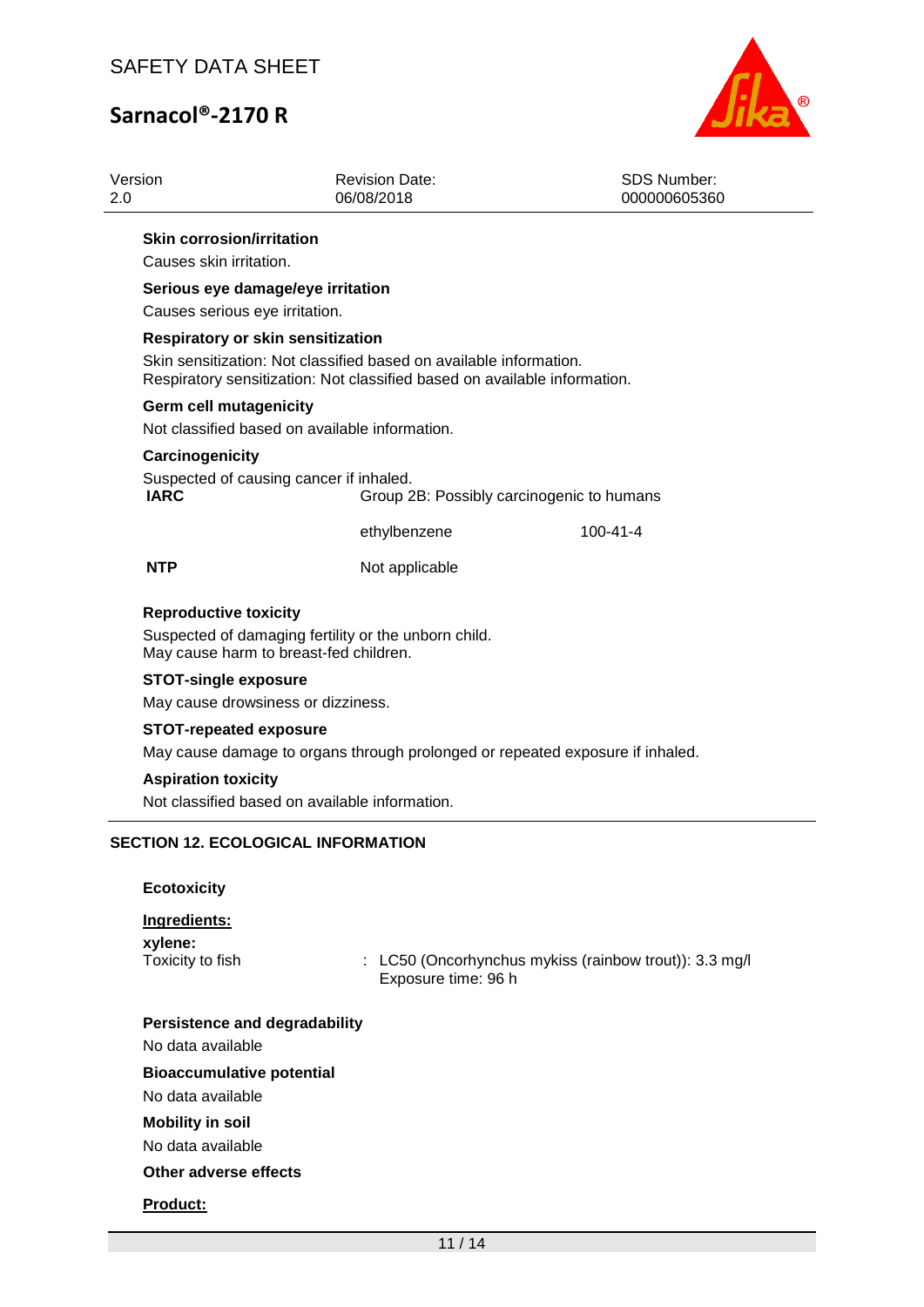

| Version                                                                | <b>Revision Date:</b><br>06/08/2018                                                                                                             | <b>SDS Number:</b><br>000000605360                     |
|------------------------------------------------------------------------|-------------------------------------------------------------------------------------------------------------------------------------------------|--------------------------------------------------------|
| <b>Skin corrosion/irritation</b><br>Causes skin irritation.            |                                                                                                                                                 |                                                        |
| Serious eye damage/eye irritation<br>Causes serious eye irritation.    |                                                                                                                                                 |                                                        |
| <b>Respiratory or skin sensitization</b>                               | Skin sensitization: Not classified based on available information.<br>Respiratory sensitization: Not classified based on available information. |                                                        |
| <b>Germ cell mutagenicity</b>                                          | Not classified based on available information.                                                                                                  |                                                        |
| Carcinogenicity                                                        |                                                                                                                                                 |                                                        |
| Suspected of causing cancer if inhaled.<br><b>IARC</b>                 | Group 2B: Possibly carcinogenic to humans                                                                                                       |                                                        |
|                                                                        | ethylbenzene                                                                                                                                    | $100 - 41 - 4$                                         |
| <b>NTP</b>                                                             | Not applicable                                                                                                                                  |                                                        |
| <b>Reproductive toxicity</b><br>May cause harm to breast-fed children. | Suspected of damaging fertility or the unborn child.                                                                                            |                                                        |
| <b>STOT-single exposure</b>                                            |                                                                                                                                                 |                                                        |
| May cause drowsiness or dizziness.                                     |                                                                                                                                                 |                                                        |
| <b>STOT-repeated exposure</b>                                          |                                                                                                                                                 |                                                        |
|                                                                        | May cause damage to organs through prolonged or repeated exposure if inhaled.                                                                   |                                                        |
| <b>Aspiration toxicity</b>                                             | Not classified based on available information.                                                                                                  |                                                        |
|                                                                        | <b>SECTION 12. ECOLOGICAL INFORMATION</b>                                                                                                       |                                                        |
| <b>Ecotoxicity</b>                                                     |                                                                                                                                                 |                                                        |
| Ingredients:<br>xylene:<br>Toxicity to fish                            | Exposure time: 96 h                                                                                                                             | : LC50 (Oncorhynchus mykiss (rainbow trout)): 3.3 mg/l |
|                                                                        |                                                                                                                                                 |                                                        |

No data available

**Bioaccumulative potential**

No data available

**Mobility in soil** No data available

**Other adverse effects**

#### **Product:**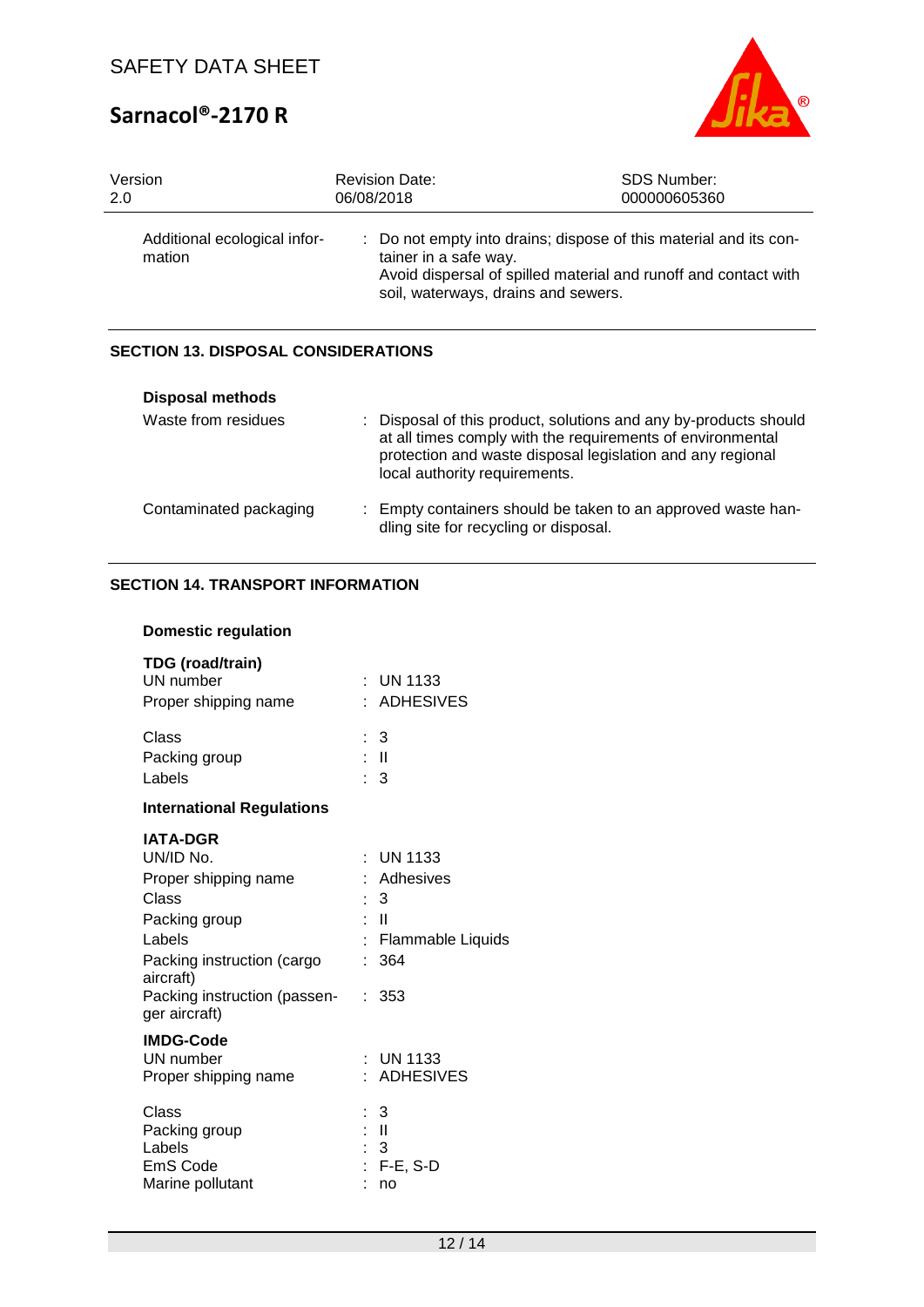

| Version                                | <b>Revision Date:</b>                                                                                                                                                                                | SDS Number:  |
|----------------------------------------|------------------------------------------------------------------------------------------------------------------------------------------------------------------------------------------------------|--------------|
| 2.0                                    | 06/08/2018                                                                                                                                                                                           | 000000605360 |
| Additional ecological infor-<br>mation | : Do not empty into drains; dispose of this material and its con-<br>tainer in a safe way.<br>Avoid dispersal of spilled material and runoff and contact with<br>soil, waterways, drains and sewers. |              |

## **SECTION 13. DISPOSAL CONSIDERATIONS**

| <b>Disposal methods</b> |                                                                                                                                                                                                                               |
|-------------------------|-------------------------------------------------------------------------------------------------------------------------------------------------------------------------------------------------------------------------------|
| Waste from residues     | : Disposal of this product, solutions and any by-products should<br>at all times comply with the requirements of environmental<br>protection and waste disposal legislation and any regional<br>local authority requirements. |
| Contaminated packaging  | : Empty containers should be taken to an approved waste han-<br>dling site for recycling or disposal.                                                                                                                         |

## **SECTION 14. TRANSPORT INFORMATION**

## **Domestic regulation**

| TDG (road/train)<br>UN number<br>Proper shipping name                                                                                                                                | $\pm$ UN 1133<br>: ADHESIVES                                                                   |
|--------------------------------------------------------------------------------------------------------------------------------------------------------------------------------------|------------------------------------------------------------------------------------------------|
| Class<br>Packing group<br>Labels                                                                                                                                                     | : 3<br>: II<br>: 3                                                                             |
| <b>International Regulations</b>                                                                                                                                                     |                                                                                                |
| <b>IATA-DGR</b><br>UN/ID No.<br>Proper shipping name<br>Class<br>Packing group<br>Labels<br>Packing instruction (cargo<br>aircraft)<br>Packing instruction (passen-<br>ger aircraft) | <b>UN 1133</b><br>Adhesives<br>: 3<br>: II<br><b>Flammable Liquids</b><br>ŧ.<br>: 364<br>: 353 |
| <b>IMDG-Code</b><br>UN number<br>Proper shipping name                                                                                                                                | <b>UN 1133</b><br>: ADHESIVES                                                                  |
| Class<br>Packing group<br>Labels<br>EmS Code<br>Marine pollutant                                                                                                                     | : 3<br>: II<br>- 3<br>$F-E$ , S-D<br>no                                                        |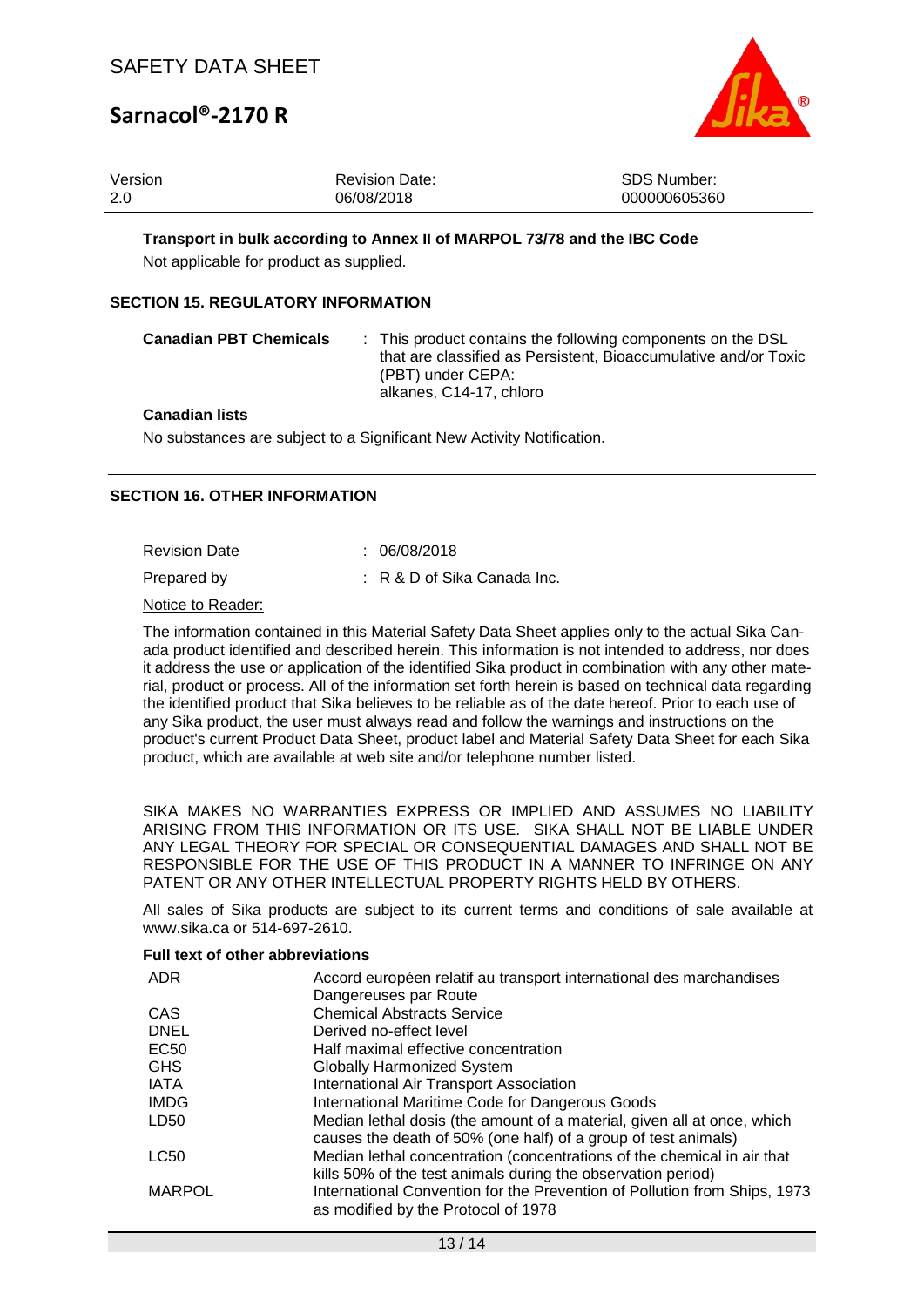

| Version | <b>Revision Date:</b> | SDS Number:  |
|---------|-----------------------|--------------|
| -2.0    | 06/08/2018            | 000000605360 |

#### **Transport in bulk according to Annex II of MARPOL 73/78 and the IBC Code**

Not applicable for product as supplied.

#### **SECTION 15. REGULATORY INFORMATION**

| <b>Canadian PBT Chemicals</b> | : This product contains the following components on the DSL<br>that are classified as Persistent, Bioaccumulative and/or Toxic<br>(PBT) under CEPA:<br>alkanes, C14-17, chloro |
|-------------------------------|--------------------------------------------------------------------------------------------------------------------------------------------------------------------------------|
| Canadian lists                |                                                                                                                                                                                |

#### **Canadian lists**

No substances are subject to a Significant New Activity Notification.

### **SECTION 16. OTHER INFORMATION**

Revision Date : 06/08/2018

Prepared by : R & D of Sika Canada Inc.

Notice to Reader:

The information contained in this Material Safety Data Sheet applies only to the actual Sika Canada product identified and described herein. This information is not intended to address, nor does it address the use or application of the identified Sika product in combination with any other material, product or process. All of the information set forth herein is based on technical data regarding the identified product that Sika believes to be reliable as of the date hereof. Prior to each use of any Sika product, the user must always read and follow the warnings and instructions on the product's current Product Data Sheet, product label and Material Safety Data Sheet for each Sika product, which are available at web site and/or telephone number listed.

SIKA MAKES NO WARRANTIES EXPRESS OR IMPLIED AND ASSUMES NO LIABILITY ARISING FROM THIS INFORMATION OR ITS USE. SIKA SHALL NOT BE LIABLE UNDER ANY LEGAL THEORY FOR SPECIAL OR CONSEQUENTIAL DAMAGES AND SHALL NOT BE RESPONSIBLE FOR THE USE OF THIS PRODUCT IN A MANNER TO INFRINGE ON ANY PATENT OR ANY OTHER INTELLECTUAL PROPERTY RIGHTS HELD BY OTHERS.

All sales of Sika products are subject to its current terms and conditions of sale available at www.sika.ca or 514-697-2610.

#### **Full text of other abbreviations**

| <b>ADR</b>    | Accord européen relatif au transport international des marchandises                                                                       |  |
|---------------|-------------------------------------------------------------------------------------------------------------------------------------------|--|
|               | Dangereuses par Route                                                                                                                     |  |
| CAS           | <b>Chemical Abstracts Service</b>                                                                                                         |  |
| <b>DNEL</b>   | Derived no-effect level                                                                                                                   |  |
| EC50          | Half maximal effective concentration                                                                                                      |  |
| <b>GHS</b>    | <b>Globally Harmonized System</b>                                                                                                         |  |
| <b>IATA</b>   | International Air Transport Association                                                                                                   |  |
| <b>IMDG</b>   | International Maritime Code for Dangerous Goods                                                                                           |  |
| LD50          | Median lethal dosis (the amount of a material, given all at once, which<br>causes the death of 50% (one half) of a group of test animals) |  |
| LC50          | Median lethal concentration (concentrations of the chemical in air that                                                                   |  |
|               | kills 50% of the test animals during the observation period)                                                                              |  |
| <b>MARPOL</b> | International Convention for the Prevention of Pollution from Ships, 1973                                                                 |  |
|               | as modified by the Protocol of 1978                                                                                                       |  |